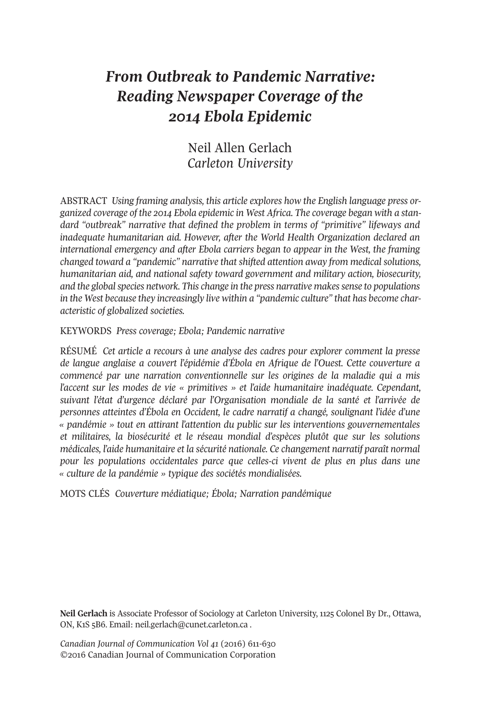# *From Outbreak to Pandemic Narrative: Reading Newspaper Coverage of the 2014 Ebola Epidemic*

# Neil Allen Gerlach *Carleton University*

ABSTRACT *Using framing analysis, this article explores how the English language press organized coverage of the 2014 Ebola epidemic in West Africa. The coverage began with a standard "outbreak" narrative that defined the problem in terms of "primitive" lifeways and inadequate humanitarian aid. However, after the World Health Organization declared an international emergency and after Ebola carriers began to appear in the West, the framing changed toward a "pandemic" narrative that shifted attention away from medical solutions, humanitarian aid, and national safety toward government and military action, biosecurity, and the globalspecies network. This change in the press narrative makessense to populations in the West because they increasingly live within a "pandemic culture" that has become characteristic of globalized societies.*

#### KEYWORDS *Press coverage; Ebola; Pandemic narrative*

RÉSUMÉ *Cet article a recours à une analyse des cadres pour explorer comment la presse de langue anglaise a couvert l'épidémie d'Ébola en Afrique de l'Ouest. Cette couverture a commencé par une narration conventionnelle sur les origines de la maladie qui a mis l'accent sur les modes de vie « primitives » et l'aide humanitaire inadéquate. Cependant, suivant l'état d'urgence déclaré par l'Organisation mondiale de la santé et l'arrivée de personnes atteintes d'Ébola en Occident, le cadre narratif a changé, soulignant l'idée d'une « pandémie » tout en attirant l'attention du public sur les interventions gouvernementales et militaires, la biosécurité et le réseau mondial d'espèces plutôt que sur les solutions médicales, l'aide humanitaire et la sécurité nationale. Ce changement narratif paraît normal pour les populations occidentales parce que celles-ci vivent de plus en plus dans une « culture de la pandémie » typique des sociétés mondialisées.*

MOTS CLÉS *Couverture médiatique; Ébola; Narration pandémique*

**Neil Gerlach** is Associate Professor of Sociology at Carleton University, 1125 Colonel By Dr., Ottawa, ON, K1S 5B6. Email: [neil.gerlach@cunet.carleton.ca](mailto:neil.gerlach@cunet.carleton.ca) .

*Canadian Journal of [Communication](http://www.cjc-online.ca) Vol 41* (2016) 611-630 ©2016 Canadian Journal of Communication Corporation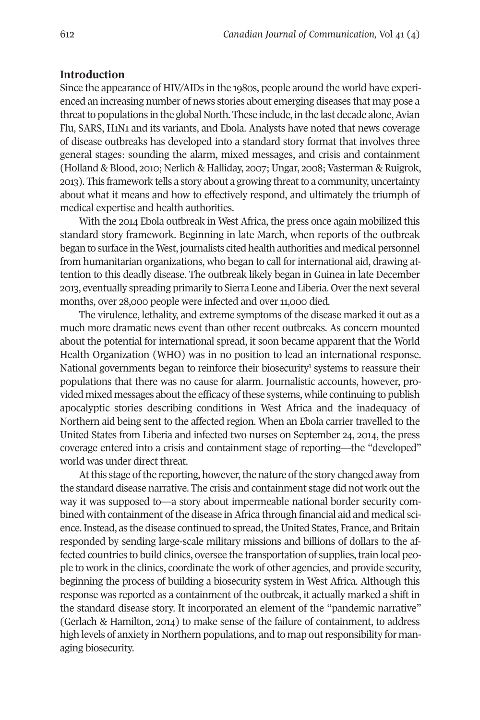## **Introduction**

Since the appearance of HIV/AIDs in the 1980s, people around the world have experienced an increasing number of news stories about emerging diseases that may pose a threat to populations in the global North. These include, in the last decade alone, Avian Flu, SARS, H1N1 and its variants, and Ebola. Analysts have noted that news coverage of disease outbreaks has developed into a standard story format that involves three general stages: sounding the alarm, mixed messages, and crisis and containment (Holland & Blood, 2010; Nerlich & Halliday, 2007;Ungar, 2008;Vasterman & Ruigrok, 2013). This framework tells a story about a growing threat to a community, uncertainty about what it means and how to effectively respond, and ultimately the triumph of medical expertise and health authorities.

With the 2014 Ebola outbreak in West Africa, the press once again mobilized this standard story framework. Beginning in late March, when reports of the outbreak began to surface in the West, journalists cited health authorities and medical personnel from humanitarian organizations, who began to call for international aid, drawing attention to this deadly disease. The outbreak likely began in Guinea in late December 2013, eventually spreading primarily to Sierra Leone and Liberia. Overthe next several months, over 28,000 people were infected and over 11,000 died.

The virulence, lethality, and extreme symptoms of the disease marked it out as a much more dramatic news event than other recent outbreaks. As concern mounted about the potential for international spread, it soon became apparent that the World Health Organization (WHO) was in no position to lead an international response. National governments began to reinforce their biosecurity<sup>1</sup> systems to reassure their populations that there was no cause for alarm. Journalistic accounts, however, provided mixed messages about the efficacy of these systems, while continuing to publish apocalyptic stories describing conditions in West Africa and the inadequacy of Northern aid being sent to the affected region. When an Ebola carrier travelled to the United States from Liberia and infected two nurses on September 24, 2014, the press coverage entered into a crisis and containment stage of reporting—the "developed" world was under direct threat.

At this stage of the reporting, however, the nature of the story changed away from the standard disease narrative. The crisis and containment stage did not work out the way it was supposed to—a story about impermeable national border security combined with containment of the disease in Africa through financial aid and medical science. Instead, as the disease continued to spread, the United States, France, and Britain responded by sending large-scale military missions and billions of dollars to the affected countries to build clinics, oversee the transportation of supplies, train local people to work in the clinics, coordinate the work of other agencies, and provide security, beginning the process of building a biosecurity system in West Africa. Although this response was reported as a containment of the outbreak, it actually marked a shift in the standard disease story. It incorporated an element of the "pandemic narrative" (Gerlach & Hamilton, 2014) to make sense of the failure of containment, to address high levels of anxiety in Northern populations, and to map out responsibility for managing biosecurity.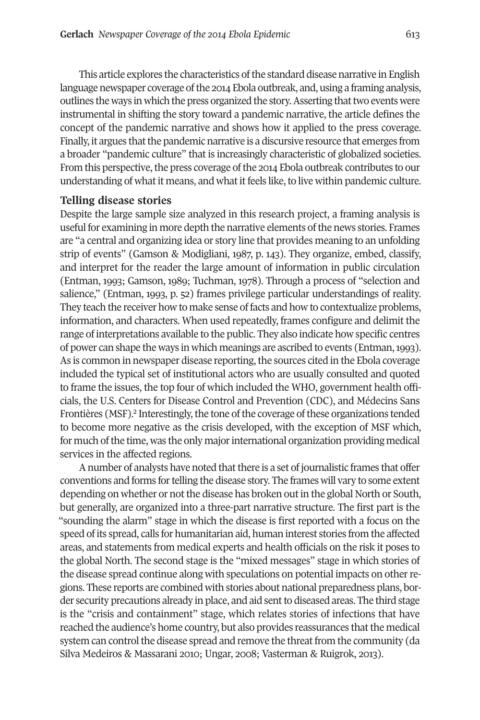This article explores the characteristics of the standard disease narrative in English language newspaper coverage ofthe 2014 Ebola outbreak, and, using a framing analysis, outlines the ways in which the press organized the story. Asserting that two events were instrumental in shifting the story toward a pandemic narrative, the article defines the concept of the pandemic narrative and shows how it applied to the press coverage. Finally, it argues that the pandemic narrative is a discursive resource that emerges from a broader "pandemic culture" that is increasingly characteristic of globalized societies. From this perspective, the press coverage of the 2014 Ebola outbreak contributes to our understanding of what it means, and what it feels like, to live within pandemic culture.

#### **Telling disease stories**

Despite the large sample size analyzed in this research project, a framing analysis is useful for examining in more depth the narrative elements of the news stories. Frames are "a central and organizing idea or story line that provides meaning to an unfolding strip of events" (Gamson & Modigliani, 1987, p. 143). They organize, embed, classify, and interpret for the reader the large amount of information in public circulation (Entman, 1993; Gamson, 1989; Tuchman, 1978). Through a process of "selection and salience," (Entman, 1993, p. 52) frames privilege particular understandings of reality. They teach the receiver how to make sense of facts and how to contextualize problems, information, and characters. When used repeatedly, frames configure and delimit the range of interpretations available to the public. They also indicate how specific centres of power can shape the ways in which meanings are ascribed to events (Entman,1993). As is common in newspaper disease reporting, the sources cited in the Ebola coverage included the typical set of institutional actors who are usually consulted and quoted to frame the issues, the top four of which included the WHO, government health officials, the U.S. Centers for Disease Control and Prevention (CDC), and Médecins Sans Frontières (MSF).<sup>2</sup> Interestingly, the tone of the coverage of these organizations tended to become more negative as the crisis developed, with the exception of MSF which, for much of the time, was the only major international organization providing medical services in the affected regions.

A number of analysts have noted that there is a set of journalistic frames that offer conventions and forms fortelling the disease story. The frames will vary to some extent depending on whether or not the disease has broken out in the global North or South, but generally, are organized into a three-part narrative structure. The first part is the "sounding the alarm" stage in which the disease is first reported with a focus on the speed of its spread, calls for humanitarian aid, human interest stories from the affected areas, and statements from medical experts and health officials on the risk it poses to the global North. The second stage is the "mixed messages" stage in which stories of the disease spread continue along with speculations on potential impacts on otherregions. These reports are combined with stories about national preparedness plans, border security precautions already in place, and aid sentto diseased areas. The third stage is the "crisis and containment" stage, which relates stories of infections that have reached the audience's home country, but also provides reassurances that the medical system can control the disease spread and remove the threat from the community (da Silva Medeiros & Massarani 2010; Ungar, 2008; Vasterman & Ruigrok, 2013).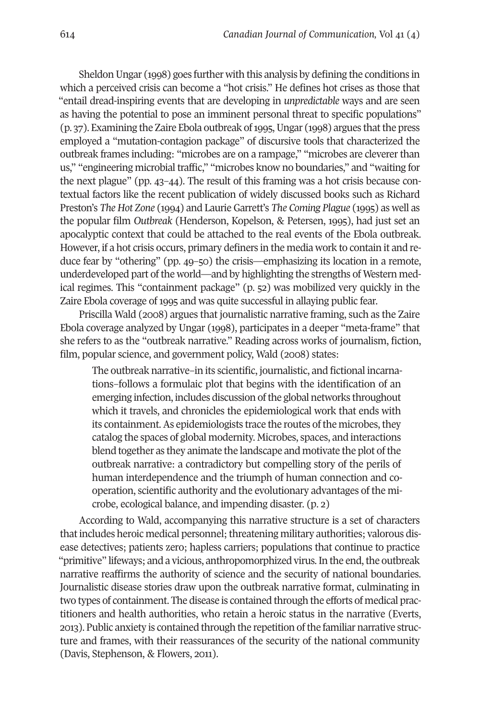Sheldon Ungar (1998) goes further with this analysis by defining the conditions in which a perceived crisis can become a "hot crisis." He defines hot crises as those that "entail dread-inspiring events that are developing in *unpredictable* ways and are seen as having the potential to pose an imminent personal threat to specific populations"  $(p, 37)$ . Examining the Zaire Ebola outbreak of 1995, Ungar  $(1998)$  argues that the press employed a "mutation-contagion package" of discursive tools that characterized the outbreak frames including: "microbes are on a rampage," "microbes are cleverer than us," "engineering microbial traffic," "microbes know no boundaries," and "waiting for the next plague" (pp. 43–44). The result of this framing was a hot crisis because contextual factors like the recent publication of widely discussed books such as Richard Preston's *The Hot Zone* (1994) and Laurie Garrett's *The Coming Plague* (1995) as well as the popular film *Outbreak* (Henderson, Kopelson, & Petersen, 1995), had just set an apocalyptic context that could be attached to the real events of the Ebola outbreak. However, if a hot crisis occurs, primary definers in the media work to contain it and reduce fear by "othering" (pp. 49–50) the crisis—emphasizing its location in a remote, underdeveloped part of the world—and by highlighting the strengths of Western medical regimes. This "containment package" (p. 52) was mobilized very quickly in the Zaire Ebola coverage of 1995 and was quite successful in allaying public fear.

Priscilla Wald (2008) argues that journalistic narrative framing, such as the Zaire Ebola coverage analyzed by Ungar (1998), participates in a deeper "meta-frame" that she refers to as the "outbreak narrative." Reading across works of journalism, fiction, film, popular science, and government policy, Wald (2008) states:

The outbreak narrative–in its scientific, journalistic, and fictional incarnations–follows a formulaic plot that begins with the identification of an emerging infection, includes discussion of the global networks throughout which it travels, and chronicles the epidemiological work that ends with its containment. As epidemiologists trace the routes of the microbes, they catalog the spaces of global modernity. Microbes, spaces, and interactions blend together as they animate the landscape and motivate the plot of the outbreak narrative: a contradictory but compelling story of the perils of human interdependence and the triumph of human connection and cooperation, scientific authority and the evolutionary advantages of the microbe, ecological balance, and impending disaster. (p. 2)

According to Wald, accompanying this narrative structure is a set of characters that includes heroic medical personnel; threatening military authorities; valorous disease detectives; patients zero; hapless carriers; populations that continue to practice "primitive" lifeways; and a vicious, anthropomorphized virus. In the end, the outbreak narrative reaffirms the authority of science and the security of national boundaries. Journalistic disease stories draw upon the outbreak narrative format, culminating in two types of containment. The disease is contained through the efforts of medical practitioners and health authorities, who retain a heroic status in the narrative (Everts, 2013). Public anxiety is contained through the repetition ofthe familiar narrative structure and frames, with their reassurances of the security of the national community (Davis, Stephenson, & Flowers, 2011).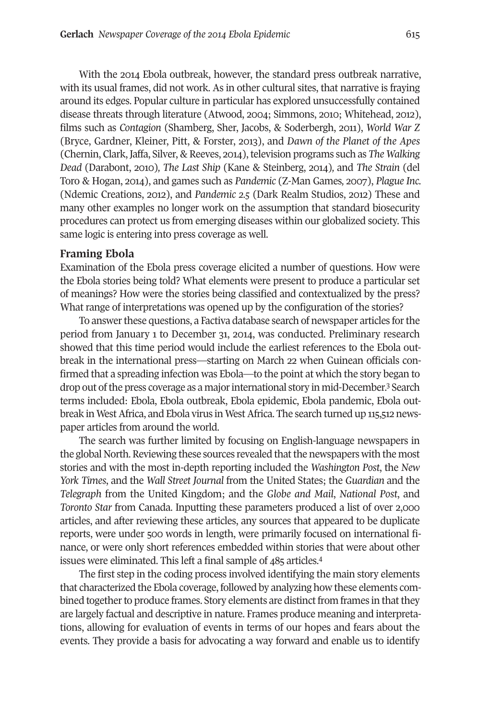With the 2014 Ebola outbreak, however, the standard press outbreak narrative, with its usual frames, did not work. As in other cultural sites, that narrative is fraying around its edges. Popular culture in particular has explored unsuccessfully contained disease threats through literature (Atwood, 2004; Simmons, 2010; Whitehead, 2012), films such as *Contagion* (Shamberg, Sher, Jacobs, & Soderbergh, 2011), *World War Z* (Bryce, Gardner, Kleiner, Pitt, & Forster, 2013), and *Dawn of the Planet of the Apes* (Chernin, Clark,Jaffa, Silver, & Reeves, 2014),television programs such as *The Walking Dead* (Darabont, 2010)*, The Last Ship* (Kane & Steinberg, 2014)*,* and *The Strain* (del Toro & Hogan, 2014), and games such as *Pandemic* (Z-Man Games*,* 2007), *Plague Inc.* (Ndemic Creations, 2012), and *Pandemic 2.5* (Dark Realm Studios, 2012) These and many other examples no longer work on the assumption that standard biosecurity procedures can protect us from emerging diseases within our globalized society. This same logic is entering into press coverage as well.

#### **Framing Ebola**

Examination of the Ebola press coverage elicited a number of questions. How were the Ebola stories being told? What elements were present to produce a particular set of meanings? How were the stories being classified and contextualized by the press? What range of interpretations was opened up by the configuration of the stories?

To answerthese questions, a Factiva database search of newspaper articles forthe period from January 1 to December 31, 2014, was conducted. Preliminary research showed that this time period would include the earliest references to the Ebola outbreak in the international press—starting on March 22 when Guinean officials confirmed that a spreading infection was Ebola—to the point at which the story began to drop out of the press coverage as a major international story in mid-December.<sup>3</sup> Search terms included: Ebola, Ebola outbreak, Ebola epidemic, Ebola pandemic, Ebola outbreak in West Africa, and Ebola virus in West Africa. The search turned up 115,512 newspaper articles from around the world.

The search was further limited by focusing on English-language newspapers in the global North. Reviewing these sources revealed that the newspapers with the most stories and with the most in-depth reporting included the *Washington Post*, the *New York Times*, and the *Wall Street Journal* from the United States; the *Guardian* and the *Telegraph* from the United Kingdom; and the *Globe and Mail*, *National Post*, and *Toronto Star* from Canada. Inputting these parameters produced a list of over 2,000 articles, and after reviewing these articles, any sources that appeared to be duplicate reports, were under 500 words in length, were primarily focused on international finance, or were only short references embedded within stories that were about other issues were eliminated. This left a final sample of 485 articles. 4

The first step in the coding process involved identifying the main story elements that characterized the Ebola coverage, followed by analyzing how these elements combined together to produce frames. Story elements are distinct from frames in that they are largely factual and descriptive in nature. Frames produce meaning and interpretations, allowing for evaluation of events in terms of our hopes and fears about the events. They provide a basis for advocating a way forward and enable us to identify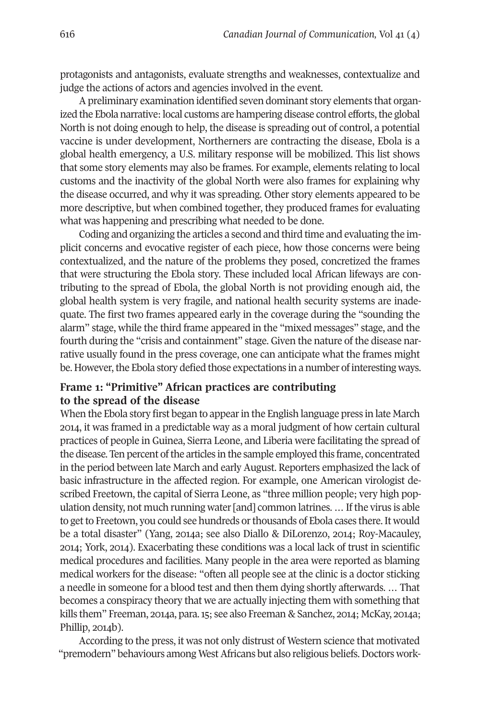protagonists and antagonists, evaluate strengths and weaknesses, contextualize and judge the actions of actors and agencies involved in the event.

Apreliminary examination identified seven dominant story elements that organized the Ebola narrative: local customs are hampering disease control efforts, the global North is not doing enough to help, the disease is spreading out of control, a potential vaccine is under development, Northerners are contracting the disease, Ebola is a global health emergency, a U.S. military response will be mobilized. This list shows that some story elements may also be frames. For example, elements relating to local customs and the inactivity of the global North were also frames for explaining why the disease occurred, and why it was spreading. Other story elements appeared to be more descriptive, but when combined together, they produced frames for evaluating what was happening and prescribing what needed to be done.

Coding and organizing the articles a second and third time and evaluating the implicit concerns and evocative register of each piece, how those concerns were being contextualized, and the nature of the problems they posed, concretized the frames that were structuring the Ebola story. These included local African lifeways are contributing to the spread of Ebola, the global North is not providing enough aid, the global health system is very fragile, and national health security systems are inadequate. The first two frames appeared early in the coverage during the "sounding the alarm" stage, while the third frame appeared in the "mixed messages" stage, and the fourth during the "crisis and containment" stage. Given the nature of the disease narrative usually found in the press coverage, one can anticipate what the frames might be. However, the Ebola story defied those expectations in a number of interesting ways.

# **Frame 1: "Primitive" African practices are contributing to the spread of the disease**

When the Ebola story first began to appearin the English language press in late March 2014, it was framed in a predictable way as a moral judgment of how certain cultural practices of people in Guinea, Sierra Leone, and Liberia were facilitating the spread of the disease. Ten percent of the articles in the sample employed this frame, concentrated in the period between late March and early August. Reporters emphasized the lack of basic infrastructure in the affected region. For example, one American virologist described Freetown, the capital of Sierra Leone, as "three million people; very high population density, not much running water [and] common latrines. ... If the virus is able to get to Freetown, you could see hundreds or thousands of Ebola cases there. It would be a total disaster" (Yang, 2014a; see also Diallo & DiLorenzo, 2014; Roy-Macauley, 2014; York, 2014). Exacerbating these conditions was a local lack of trust in scientific medical procedures and facilities. Many people in the area were reported as blaming medical workers for the disease: "often all people see at the clinic is a doctor sticking a needle in someone for a blood test and then them dying shortly afterwards. … That becomes a conspiracy theory that we are actually injecting them with something that kills them" Freeman, 2014a, para.15; see also Freeman & Sanchez, 2014; McKay, 2014a; Phillip, 2014b).

According to the press, it was not only distrust of Western science that motivated "premodern" behaviours among West Africans but also religious beliefs. Doctors work-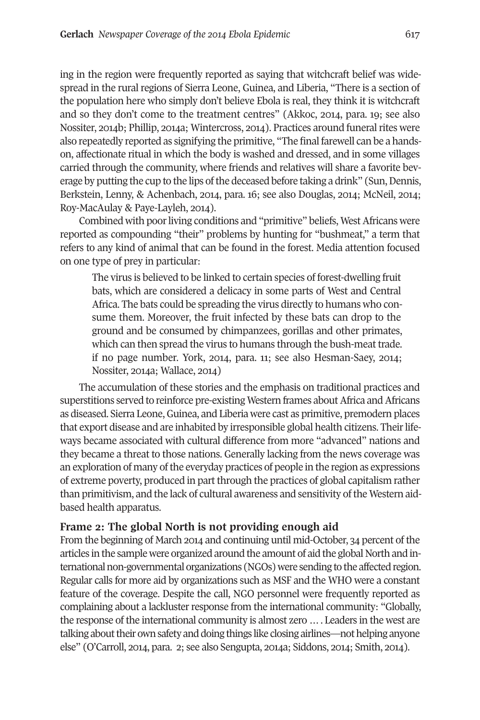ing in the region were frequently reported as saying that witchcraft belief was widespread in the rural regions of Sierra Leone, Guinea, and Liberia, "There is a section of the population here who simply don't believe Ebola is real, they think it is witchcraft and so they don't come to the treatment centres" (Akkoc, 2014, para. 19; see also Nossiter, 2014b; Phillip, 2014a; Wintercross, 2014). Practices around funeral rites were also repeatedly reported as signifying the primitive, "The final farewell can be a handson, affectionate ritual in which the body is washed and dressed, and in some villages carried through the community, where friends and relatives will share a favorite beverage by putting the cup to the lips of the deceased before taking a drink" (Sun, Dennis, Berkstein, Lenny, & Achenbach, 2014, para. 16; see also Douglas, 2014; McNeil, 2014; Roy-MacAulay & Paye-Layleh, 2014).

Combined with poor living conditions and "primitive" beliefs, West Africans were reported as compounding "their" problems by hunting for "bushmeat," a term that refers to any kind of animal that can be found in the forest. Media attention focused on one type of prey in particular:

The virus is believed to be linked to certain species of forest-dwelling fruit bats, which are considered a delicacy in some parts of West and Central Africa. The bats could be spreading the virus directly to humans who consume them. Moreover, the fruit infected by these bats can drop to the ground and be consumed by chimpanzees, gorillas and other primates, which can then spread the virus to humans through the bush-meat trade. if no page number. York, 2014, para. 11; see also Hesman-Saey, 2014; Nossiter, 2014a; Wallace, 2014)

The accumulation of these stories and the emphasis on traditional practices and superstitions served to reinforce pre-existing Western frames about Africa and Africans as diseased. Sierra Leone, Guinea, and Liberia were cast as primitive, premodern places that export disease and are inhabited by irresponsible global health citizens. Their lifeways became associated with cultural difference from more "advanced" nations and they became a threat to those nations. Generally lacking from the news coverage was an exploration of many of the everyday practices of people in the region as expressions of extreme poverty, produced in part through the practices of global capitalism rather than primitivism, and the lack of cultural awareness and sensitivity ofthe Western aidbased health apparatus.

# **Frame 2: The global North is not providing enough aid**

From the beginning of March 2014 and continuing until mid-October, 34 percent of the articles in the sample were organized around the amount of aid the global North and international non-governmental organizations (NGOs) were sending to the affected region. Regular calls for more aid by organizations such as MSF and the WHO were a constant feature of the coverage. Despite the call, NGO personnel were frequently reported as complaining about a lackluster response from the international community: "Globally, the response of the international community is almost zero …. Leaders in the west are talking about their own safety and doing things like closing airlines—not helping anyone else" (O'Carroll, 2014, para. 2; see also Sengupta, 2014a; Siddons, 2014; Smith, 2014).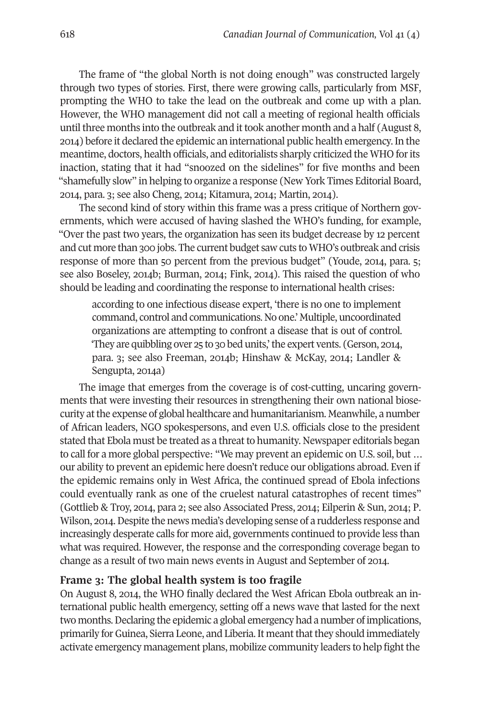The frame of "the global North is not doing enough" was constructed largely through two types of stories. First, there were growing calls, particularly from MSF, prompting the WHO to take the lead on the outbreak and come up with a plan. However, the WHO management did not call a meeting of regional health officials until three months into the outbreak and it took another month and a half (August 8, 2014) before it declared the epidemic an international public health emergency.In the meantime, doctors, health officials, and editorialists sharply criticized the WHO forits inaction, stating that it had "snoozed on the sidelines" for five months and been "shamefully slow" in helping to organize a response (New York Times Editorial Board, 2014, para. 3; see also Cheng, 2014; Kitamura, 2014; Martin, 2014).

The second kind of story within this frame was a press critique of Northern governments, which were accused of having slashed the WHO's funding, for example, "Over the past two years, the organization has seen its budget decrease by 12 percent and cut more than 300 jobs. The current budget saw cuts to WHO's outbreak and crisis response of more than 50 percent from the previous budget" (Youde, 2014, para. 5; see also Boseley, 2014b; Burman, 2014; Fink, 2014). This raised the question of who should be leading and coordinating the response to international health crises:

according to one infectious disease expert, 'there is no one to implement command, control and communications. No one.' Multiple, uncoordinated organizations are attempting to confront a disease that is out of control. 'They are quibbling over 25 to 30 bed units,'the expert vents. (Gerson, 2014, para. 3; see also Freeman, 2014b; Hinshaw & McKay, 2014; Landler & Sengupta, 2014a)

The image that emerges from the coverage is of cost-cutting, uncaring governments that were investing their resources in strengthening their own national biosecurity at the expense of global healthcare and humanitarianism. Meanwhile, a number of African leaders, NGO spokespersons, and even U.S. officials close to the president stated that Ebola must be treated as a threatto humanity. Newspaper editorials began to call for a more global perspective: "We may prevent an epidemic on U.S. soil, but … our ability to prevent an epidemic here doesn't reduce our obligations abroad. Even if the epidemic remains only in West Africa, the continued spread of Ebola infections could eventually rank as one of the cruelest natural catastrophes of recent times" (Gottlieb & Troy, 2014, para 2; see also Associated Press, 2014; Eilperin & Sun, 2014; P. Wilson, 2014. Despite the news media's developing sense of a rudderless response and increasingly desperate calls for more aid, governments continued to provide less than what was required. However, the response and the corresponding coverage began to change as a result of two main news events in August and September of 2014.

## **Frame 3: The global health system is too fragile**

On August 8, 2014, the WHO finally declared the West African Ebola outbreak an international public health emergency, setting off a news wave that lasted for the next two months.Declaring the epidemic a global emergency had a number of implications, primarily for Guinea, Sierra Leone, and Liberia. It meant that they should immediately activate emergency management plans, mobilize community leaders to help fight the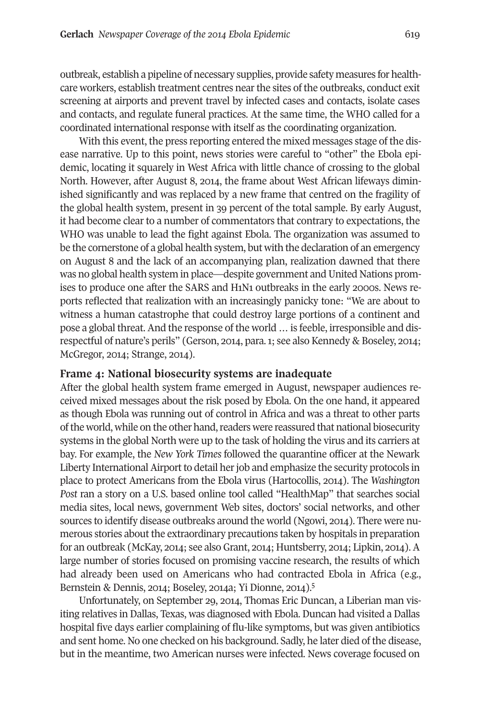outbreak, establish a pipeline of necessary supplies, provide safety measures for healthcare workers, establish treatment centres nearthe sites of the outbreaks, conduct exit screening at airports and prevent travel by infected cases and contacts, isolate cases and contacts, and regulate funeral practices. At the same time, the WHO called for a coordinated international response with itself as the coordinating organization.

With this event, the press reporting entered the mixed messages stage of the disease narrative. Up to this point, news stories were careful to "other" the Ebola epidemic, locating it squarely in West Africa with little chance of crossing to the global North. However, after August 8, 2014, the frame about West African lifeways diminished significantly and was replaced by a new frame that centred on the fragility of the global health system, present in 39 percent of the total sample. By early August, it had become clear to a number of commentators that contrary to expectations, the WHO was unable to lead the fight against Ebola. The organization was assumed to be the cornerstone of a global health system, but with the declaration of an emergency on August 8 and the lack of an accompanying plan, realization dawned that there was no global health system in place—despite government and United Nations promises to produce one after the SARS and H1N1 outbreaks in the early 2000s. News reports reflected that realization with an increasingly panicky tone: "We are about to witness a human catastrophe that could destroy large portions of a continent and pose a global threat. And the response of the world … is feeble, irresponsible and disrespectful of nature's perils" (Gerson, 2014, para.1; see also Kennedy & Boseley, 2014; McGregor, 2014; Strange, 2014).

## **Frame 4: National biosecurity systems are inadequate**

After the global health system frame emerged in August, newspaper audiences received mixed messages about the risk posed by Ebola. On the one hand, it appeared as though Ebola was running out of control in Africa and was a threat to other parts of the world, while on the other hand, readers were reassured that national biosecurity systems in the global North were up to the task of holding the virus and its carriers at bay. For example, the *New York Times* followed the quarantine officer at the Newark Liberty International Airport to detail her job and emphasize the security protocols in place to protect Americans from the Ebola virus (Hartocollis, 2014). The *Washington Post* ran a story on a U.S. based online tool called "HealthMap" that searches social media sites, local news, government Web sites, doctors' social networks, and other sources to identify disease outbreaks around the world (Ngowi, 2014). There were numerous stories about the extraordinary precautions taken by hospitals in preparation for an outbreak (McKay, 2014; see also Grant, 2014; Huntsberry, 2014; Lipkin, 2014). A large number of stories focused on promising vaccine research, the results of which had already been used on Americans who had contracted Ebola in Africa (e.g., Bernstein & Dennis, 2014; Boseley, 2014a; Yi Dionne, 2014). 5

Unfortunately, on September 29, 2014, Thomas Eric Duncan, a Liberian man visiting relatives in Dallas, Texas, was diagnosed with Ebola. Duncan had visited a Dallas hospital five days earlier complaining of flu-like symptoms, but was given antibiotics and sent home. No one checked on his background. Sadly, he later died of the disease, but in the meantime, two American nurses were infected. News coverage focused on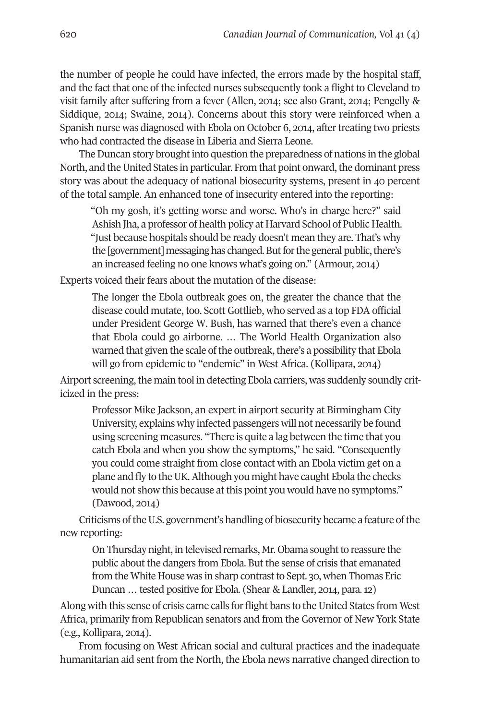the number of people he could have infected, the errors made by the hospital staff, and the fact that one of the infected nurses subsequently took a flight to Cleveland to visit family after suffering from a fever (Allen, 2014; see also Grant, 2014; Pengelly & Siddique, 2014; Swaine, 2014). Concerns about this story were reinforced when a Spanish nurse was diagnosed with Ebola on October 6, 2014, after treating two priests who had contracted the disease in Liberia and Sierra Leone.

The Duncan story brought into question the preparedness of nations in the global North, and the United States in particular. From that point onward, the dominant press story was about the adequacy of national biosecurity systems, present in 40 percent of the total sample. An enhanced tone of insecurity entered into the reporting:

"Oh my gosh, it's getting worse and worse. Who's in charge here?" said Ashish Jha, a professor of health policy at Harvard School of Public Health. "Just because hospitals should be ready doesn't mean they are. That's why the [government] messaging has changed. But for the general public, there's an increased feeling no one knows what's going on." (Armour, 2014)

Experts voiced their fears about the mutation of the disease:

The longer the Ebola outbreak goes on, the greater the chance that the disease could mutate, too. Scott Gottlieb, who served as a top FDA official under President George W. Bush, has warned that there's even a chance that Ebola could go airborne. … The World Health Organization also warned that given the scale of the outbreak, there's a possibility that Ebola will go from epidemic to "endemic" in West Africa. (Kollipara, 2014)

Airport screening, the main tool in detecting Ebola carriers, was suddenly soundly criticized in the press:

Professor Mike Jackson, an expert in airport security at Birmingham City University, explains why infected passengers will not necessarily be found using screening measures. "There is quite a lag between the time that you catch Ebola and when you show the symptoms," he said. "Consequently you could come straight from close contact with an Ebola victim get on a plane and fly to the UK. Although you might have caught Ebola the checks would not show this because at this point you would have no symptoms." (Dawood, 2014)

Criticisms of the U.S. government's handling of biosecurity became a feature of the new reporting:

On Thursday night, in televised remarks, Mr. Obama sought to reassure the public about the dangers from Ebola. But the sense of crisis that emanated from the White House was in sharp contrast to Sept. 30, when Thomas Eric Duncan … tested positive for Ebola. (Shear & Landler, 2014, para.12)

Along with this sense of crisis came calls for flight bans to the United States from West Africa, primarily from Republican senators and from the Governor of New York State (e.g., Kollipara, 2014).

From focusing on West African social and cultural practices and the inadequate humanitarian aid sent from the North, the Ebola news narrative changed direction to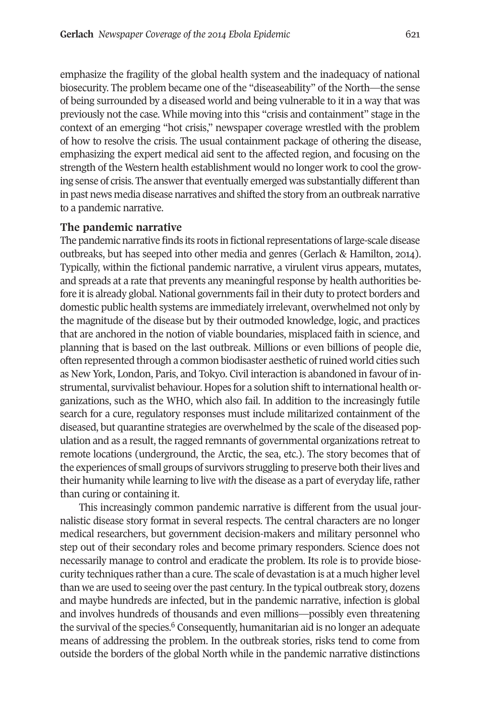emphasize the fragility of the global health system and the inadequacy of national biosecurity. The problem became one of the "diseaseability" of the North—the sense of being surrounded by a diseased world and being vulnerable to it in a way that was previously not the case. While moving into this "crisis and containment" stage in the context of an emerging "hot crisis," newspaper coverage wrestled with the problem of how to resolve the crisis. The usual containment package of othering the disease, emphasizing the expert medical aid sent to the affected region, and focusing on the strength of the Western health establishment would no longer work to cool the growing sense of crisis. The answer that eventually emerged was substantially different than in past news media disease narratives and shifted the story from an outbreak narrative to a pandemic narrative.

#### **The pandemic narrative**

The pandemic narrative finds its roots in fictional representations of large-scale disease outbreaks, but has seeped into other media and genres (Gerlach & Hamilton, 2014). Typically, within the fictional pandemic narrative, a virulent virus appears, mutates, and spreads at a rate that prevents any meaningful response by health authorities before it is already global. National governments fail in their duty to protect borders and domestic public health systems are immediately irrelevant, overwhelmed not only by the magnitude of the disease but by their outmoded knowledge, logic, and practices that are anchored in the notion of viable boundaries, misplaced faith in science, and planning that is based on the last outbreak. Millions or even billions of people die, often represented through a common biodisaster aesthetic ofruined world cities such as New York, London, Paris, and Tokyo. Civil interaction is abandoned in favour of instrumental, survivalist behaviour. Hopes for a solution shift to international health organizations, such as the WHO, which also fail. In addition to the increasingly futile search for a cure, regulatory responses must include militarized containment of the diseased, but quarantine strategies are overwhelmed by the scale of the diseased population and as a result, the ragged remnants of governmental organizations retreat to remote locations (underground, the Arctic, the sea, etc.). The story becomes that of the experiences of small groups of survivors struggling to preserve both their lives and their humanity while learning to live *with* the disease as a part of everyday life, rather than curing or containing it.

This increasingly common pandemic narrative is different from the usual journalistic disease story format in several respects. The central characters are no longer medical researchers, but government decision-makers and military personnel who step out of their secondary roles and become primary responders. Science does not necessarily manage to control and eradicate the problem. Its role is to provide biosecurity techniques rather than a cure. The scale of devastation is at a much higher level than we are used to seeing overthe past century. In the typical outbreak story, dozens and maybe hundreds are infected, but in the pandemic narrative, infection is global and involves hundreds of thousands and even millions—possibly even threatening the survival of the species. <sup>6</sup> Consequently, humanitarian aid is no longer an adequate means of addressing the problem. In the outbreak stories, risks tend to come from outside the borders of the global North while in the pandemic narrative distinctions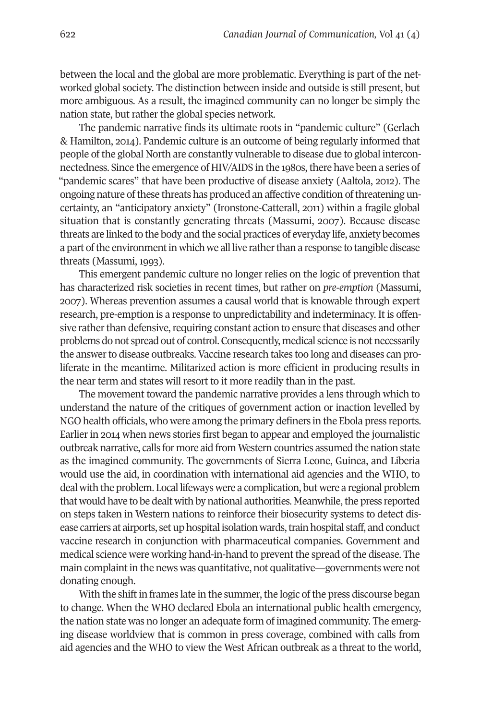between the local and the global are more problematic. Everything is part of the networked global society. The distinction between inside and outside is still present, but more ambiguous. As a result, the imagined community can no longer be simply the nation state, but rather the global species network.

The pandemic narrative finds its ultimate roots in "pandemic culture" (Gerlach & Hamilton, 2014). Pandemic culture is an outcome of being regularly informed that people of the global North are constantly vulnerable to disease due to global interconnectedness. Since the emergence of HIV/AIDS in the 1980s, there have been a series of "pandemic scares" that have been productive of disease anxiety (Aaltola, 2012). The ongoing nature of these threats has produced an affective condition of threatening uncertainty, an "anticipatory anxiety" (Ironstone-Catterall, 2011) within a fragile global situation that is constantly generating threats (Massumi, 2007). Because disease threats are linked to the body and the social practices of everyday life, anxiety becomes a part of the environment in which we all live rather than a response to tangible disease threats (Massumi, 1993).

This emergent pandemic culture no longer relies on the logic of prevention that has characterized risk societies in recent times, but rather on *pre-emption* (Massumi, 2007). Whereas prevention assumes a causal world that is knowable through expert research, pre-emption is a response to unpredictability and indeterminacy. It is offensive rather than defensive, requiring constant action to ensure that diseases and other problems do not spread out of control. Consequently, medical science is not necessarily the answerto disease outbreaks. Vaccine research takes too long and diseases can proliferate in the meantime. Militarized action is more efficient in producing results in the near term and states will resort to it more readily than in the past.

The movement toward the pandemic narrative provides a lens through which to understand the nature of the critiques of government action or inaction levelled by NGO health officials, who were among the primary definers in the Ebola press reports. Earlier in 2014 when news stories first began to appear and employed the journalistic outbreak narrative, calls for more aid from Western countries assumed the nation state as the imagined community. The governments of Sierra Leone, Guinea, and Liberia would use the aid, in coordination with international aid agencies and the WHO, to deal with the problem. Local lifeways were a complication, but were a regional problem that would have to be dealt with by national authorities. Meanwhile, the press reported on steps taken in Western nations to reinforce their biosecurity systems to detect disease carriers at airports, set up hospital isolation wards, train hospital staff, and conduct vaccine research in conjunction with pharmaceutical companies. Government and medical science were working hand-in-hand to prevent the spread of the disease. The main complaint in the news was quantitative, not qualitative—governments were not donating enough.

With the shift in frames late in the summer, the logic of the press discourse began to change. When the WHO declared Ebola an international public health emergency, the nation state was no longer an adequate form of imagined community. The emerging disease worldview that is common in press coverage, combined with calls from aid agencies and the WHO to view the West African outbreak as a threat to the world,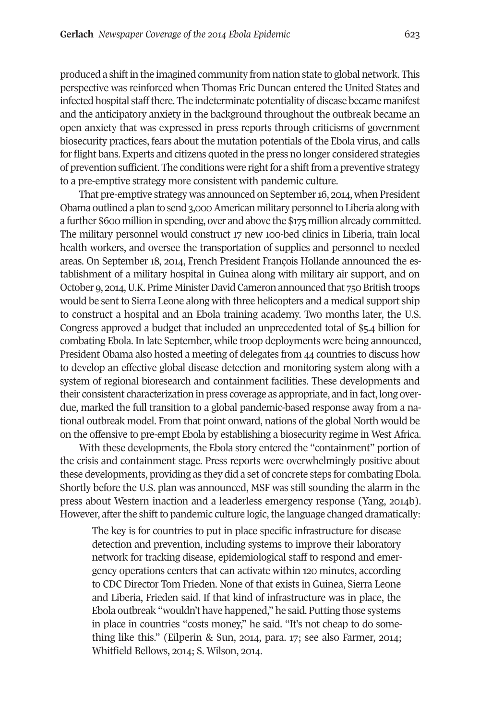produced a shiftin the imagined community from nation state to global network. This perspective was reinforced when Thomas Eric Duncan entered the United States and infected hospital staffthere. The indeterminate potentiality of disease became manifest and the anticipatory anxiety in the background throughout the outbreak became an open anxiety that was expressed in press reports through criticisms of government biosecurity practices, fears about the mutation potentials of the Ebola virus, and calls for flight bans. Experts and citizens quoted in the press no longer considered strategies of prevention sufficient. The conditions were right for a shift from a preventive strategy to a pre-emptive strategy more consistent with pandemic culture.

That pre-emptive strategy was announced on September 16, 2014, when President Obama outlined a plan to send 3,000American military personnelto Liberia along with a further \$600 million in spending, over and above the \$175 million already committed. The military personnel would construct 17 new 100-bed clinics in Liberia, train local health workers, and oversee the transportation of supplies and personnel to needed areas. On September 18, 2014, French President François Hollande announced the establishment of a military hospital in Guinea along with military air support, and on October 9, 2014, U.K. Prime Minister David Cameron announced that 750 British troops would be sent to Sierra Leone along with three helicopters and a medical support ship to construct a hospital and an Ebola training academy. Two months later, the U.S. Congress approved a budget that included an unprecedented total of \$5.4 billion for combating Ebola. In late September, while troop deployments were being announced, President Obama also hosted a meeting of delegates from 44 countries to discuss how to develop an effective global disease detection and monitoring system along with a system of regional bioresearch and containment facilities. These developments and their consistent characterization in press coverage as appropriate, and in fact, long overdue, marked the full transition to a global pandemic-based response away from a national outbreak model. From that point onward, nations of the global North would be on the offensive to pre-empt Ebola by establishing a biosecurity regime in West Africa.

With these developments, the Ebola story entered the "containment" portion of the crisis and containment stage. Press reports were overwhelmingly positive about these developments, providing as they did a set of concrete steps for combating Ebola. Shortly before the U.S. plan was announced, MSF was still sounding the alarm in the press about Western inaction and a leaderless emergency response (Yang, 2014b). However, after the shift to pandemic culture logic, the language changed dramatically:

The key is for countries to put in place specific infrastructure for disease detection and prevention, including systems to improve their laboratory network for tracking disease, epidemiological staff to respond and emergency operations centers that can activate within 120 minutes, according to CDC Director Tom Frieden. None of that exists in Guinea, Sierra Leone and Liberia, Frieden said. If that kind of infrastructure was in place, the Ebola outbreak "wouldn't have happened," he said. Putting those systems in place in countries "costs money," he said. "It's not cheap to do something like this." (Eilperin & Sun, 2014, para. 17; see also Farmer, 2014; Whitfield Bellows, 2014; S. Wilson, 2014.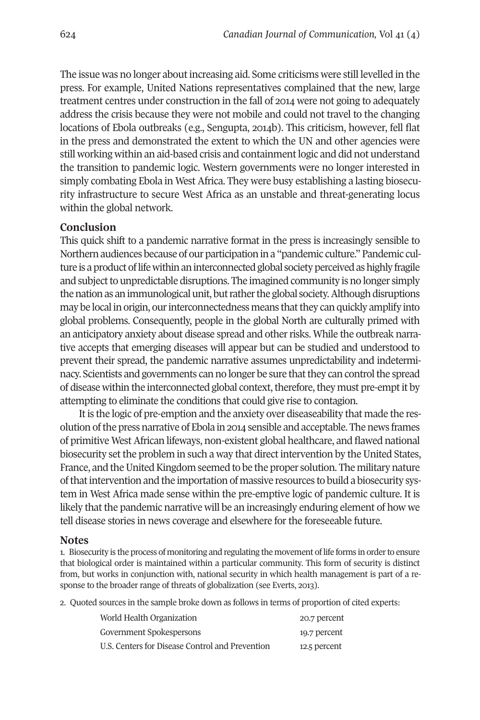The issue was no longer about increasing aid. Some criticisms were still levelled in the press. For example, United Nations representatives complained that the new, large treatment centres under construction in the fall of 2014 were not going to adequately address the crisis because they were not mobile and could not travel to the changing locations of Ebola outbreaks (e.g., Sengupta, 2014b). This criticism, however, fell flat in the press and demonstrated the extent to which the UN and other agencies were still working within an aid-based crisis and containment logic and did not understand the transition to pandemic logic. Western governments were no longer interested in simply combating Ebola in West Africa. They were busy establishing a lasting biosecurity infrastructure to secure West Africa as an unstable and threat-generating locus within the global network.

#### **Conclusion**

This quick shift to a pandemic narrative format in the press is increasingly sensible to Northern audiences because of our participation in a "pandemic culture." Pandemic culture is a product of life within an interconnected global society perceived as highly fragile and subject to unpredictable disruptions. The imagined community is no longer simply the nation as an immunological unit, but rather the global society. Although disruptions may be local in origin, our interconnectedness means that they can quickly amplify into global problems. Consequently, people in the global North are culturally primed with an anticipatory anxiety about disease spread and otherrisks. While the outbreak narrative accepts that emerging diseases will appear but can be studied and understood to prevent their spread, the pandemic narrative assumes unpredictability and indeterminacy. Scientists and governments can no longer be sure that they can control the spread of disease within the interconnected global context, therefore, they must pre-empt it by attempting to eliminate the conditions that could give rise to contagion.

It is the logic of pre-emption and the anxiety over diseaseability that made the resolution ofthe press narrative of Ebola in 2014 sensible and acceptable. The news frames of primitive West African lifeways, non-existent global healthcare, and flawed national biosecurity set the problem in such a way that direct intervention by the United States, France, and the United Kingdom seemed to be the proper solution. The military nature ofthatintervention and the importation of massive resources to build a biosecurity system in West Africa made sense within the pre-emptive logic of pandemic culture. It is likely that the pandemic narrative will be an increasingly enduring element of how we tell disease stories in news coverage and elsewhere for the foreseeable future.

#### **Notes**

1. Biosecurity is the process of monitoring and regulating the movement oflife forms in orderto ensure that biological order is maintained within a particular community. This form of security is distinct from, but works in conjunction with, national security in which health management is part of a response to the broader range of threats of globalization (see Everts, 2013).

2. Quoted sources in the sample broke down as follows in terms of proportion of cited experts:

| World Health Organization                       | 20.7 percent |
|-------------------------------------------------|--------------|
| Government Spokespersons                        | 19.7 percent |
| U.S. Centers for Disease Control and Prevention | 12.5 percent |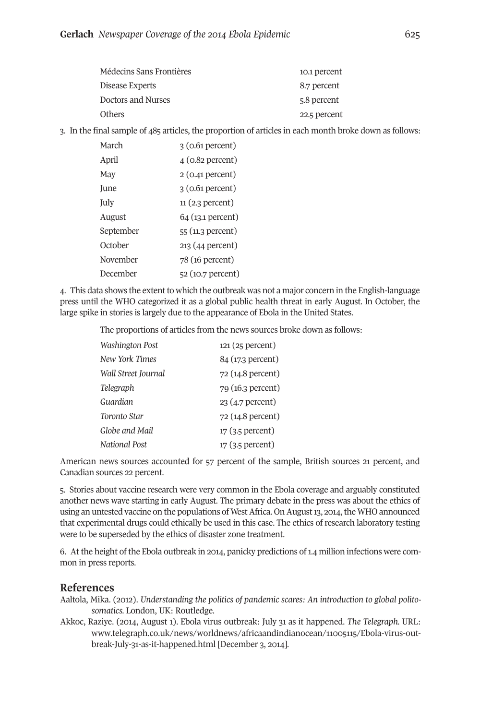| Médecins Sans Frontières | 10.1 percent |
|--------------------------|--------------|
| Disease Experts          | 8.7 percent  |
| Doctors and Nurses       | 5.8 percent  |
| Others                   | 22.5 percent |

3. In the final sample of 485 articles, the proportion of articles in each month broke down as follows:

| March     | 3 (0.61 percent)   |
|-----------|--------------------|
| April     | $4(0.82)$ percent) |
| May       | 2 (0.41 percent)   |
| June      | $3(0.61)$ percent) |
| July      | $11(2.3)$ percent) |
| August    | 64 (13.1 percent)  |
| September | 55 (11.3 percent)  |
| October   | 213 (44 percent)   |
| November  | 78 (16 percent)    |
| December  | 52 (10.7 percent)  |

4. This data shows the extentto which the outbreak was not a major concern in the English-language press until the WHO categorized it as a global public health threat in early August. In October, the large spike in stories is largely due to the appearance of Ebola in the United States.

The proportions of articles from the news sources broke down as follows:

| <b>Washington Post</b> | $121(25)$ percent) |
|------------------------|--------------------|
| New York Times         | 84 (17.3 percent)  |
| Wall Street Journal    | 72 (14.8 percent)  |
| Telegraph              | 79 (16.3 percent)  |
| Guardian               | 23 (4.7 percent)   |
| Toronto Star           | 72 (14.8 percent)  |
| Globe and Mail         | $17(3.5)$ percent) |
| National Post          | $17(3.5)$ percent) |

American news sources accounted for 57 percent of the sample, British sources 21 percent, and Canadian sources 22 percent.

5. Stories about vaccine research were very common in the Ebola coverage and arguably constituted another news wave starting in early August. The primary debate in the press was about the ethics of using an untested vaccine on the populations of West Africa. On August 13, 2014, the WHO announced that experimental drugs could ethically be used in this case. The ethics of research laboratory testing were to be superseded by the ethics of disaster zone treatment.

6. At the height of the Ebola outbreak in 2014, panicky predictions of  $1.4$  million infections were common in press reports.

#### **References**

- Aaltola, Mika. (2012). *Understanding the politics of pandemic scares: An introduction to global politosomatics.* London, UK: Routledge.
- Akkoc, Raziye. (2014, August 1). Ebola virus outbreak: July 31 as it happened. *The Telegraph.* URL: [www.telegraph.co.uk/news/worldnews/africaandindianocean/11005115/Ebola-virus-out](www.telegraph.co.uk/news/worldnews/africaandindianocean/11005115/Ebola-virus-outbreak-July-31-as-it-happened.html)[break-July-31-as-it-happened.html](www.telegraph.co.uk/news/worldnews/africaandindianocean/11005115/Ebola-virus-outbreak-July-31-as-it-happened.html) [December 3, 2014].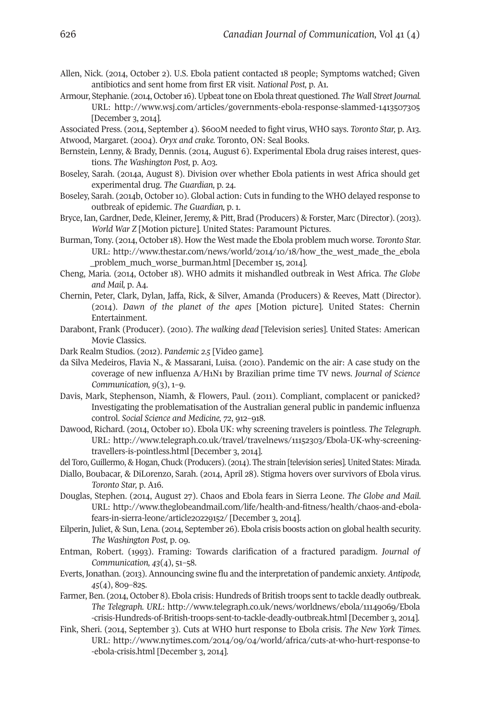- Allen, Nick. (2014, October 2). U.S. Ebola patient contacted 18 people; Symptoms watched; Given antibiotics and sent home from first ER visit. *National Post,* p. A1.
- Armour, Stephanie. (2014, October16).Upbeattone on Ebola threat questioned. *The Wall StreetJournal.* URL: <http://www.wsj.com/articles/governments-ebola-response-slammed-1413507305> [December 3, 2014].
- Associated Press. (2014, September 4). \$600M needed to fight virus, WHO says. *Toronto Star,* p. A13. Atwood, Margaret. (2004). *Oryx and crake.* Toronto, ON: Seal Books.
- Bernstein, Lenny, & Brady, Dennis. (2014, August 6). Experimental Ebola drug raises interest, questions. *The Washington Post,* p. A03.
- Boseley, Sarah. (2014a, August 8). Division over whether Ebola patients in west Africa should get experimental drug. *The Guardian,* p. 24.
- Boseley, Sarah. (2014b, October 10). Global action: Cuts in funding to the WHO delayed response to outbreak of epidemic. *The Guardian,* p. 1.
- Bryce, Ian, Gardner, Dede, Kleiner, Jeremy, & Pitt, Brad (Producers) & Forster, Marc (Director). (2013). *World War Z* [Motion picture]. United States: Paramount Pictures.
- Burman, Tony. (2014, October18). How the West made the Ebola problem much worse. *Toronto Star.* URL: [http://www.thestar.com/news/world/2014/10/18/how\\_the\\_west\\_made\\_the\\_ebola](http://www.thestar.com/news/world/2014/10/18/how_the_west_made_the_ebola_problem_much_worse_burman.html) [\\_problem\\_much\\_worse\\_burman.html](http://www.thestar.com/news/world/2014/10/18/how_the_west_made_the_ebola_problem_much_worse_burman.html) [December 15, 2014].
- Cheng, Maria. (2014, October 18). WHO admits it mishandled outbreak in West Africa. *The Globe and Mail,* p. A4.
- Chernin, Peter, Clark, Dylan, Jaffa, Rick, & Silver, Amanda (Producers) & Reeves, Matt (Director). (2014). *Dawn of the planet of the apes* [Motion picture]. United States: Chernin Entertainment.
- Darabont, Frank (Producer). (2010). *The walking dead* [Television series]. United States: American Movie Classics.
- Dark Realm Studios. (2012). *Pandemic 2.5* [Video game].
- da Silva Medeiros, Flavia N., & Massarani, Luisa. (2010). Pandemic on the air: A case study on the coverage of new influenza A/H1N1 by Brazilian prime time TV news. *Journal of Science Communication, 9*(3), 1–9.
- Davis, Mark, Stephenson, Niamh, & Flowers, Paul. (2011). Compliant, complacent or panicked? Investigating the problematisation of the Australian general public in pandemic influenza control. *Social Science and Medicine, 72*, 912–918.
- Dawood, Richard. (2014, October 10). Ebola UK: why screening travelers is pointless. *The Telegraph*. URL: [http://www.telegraph.co.uk/travel/travelnews/11152303/Ebola-UK-why-screening](http://www.telegraph.co.uk/travel/travelnews/11152303/Ebola-UK-why-screening-travellers-is-pointless.html)[travellers-is-pointless.html](http://www.telegraph.co.uk/travel/travelnews/11152303/Ebola-UK-why-screening-travellers-is-pointless.html) [December 3, 2014].
- del Toro, Guillermo, & Hogan, Chuck (Producers). (2014). The strain [television series].United States: Mirada.
- Diallo, Boubacar, & DiLorenzo, Sarah. (2014, April 28). Stigma hovers over survivors of Ebola virus. *Toronto Star,* p. A16.
- Douglas, Stephen. (2014, August 27). Chaos and Ebola fears in Sierra Leone. *The Globe and Mail.* URL: [http://www.theglobeandmail.com/life/health-and-fitness/health/chaos-and-ebola](http://www.theglobeandmail.com/life/health-and-fitness/health/chaos-and-ebola-fears-in-sierra-leone/article20229152)[fears-in-sierra-leone/article20229152/](http://www.theglobeandmail.com/life/health-and-fitness/health/chaos-and-ebola-fears-in-sierra-leone/article20229152) [December 3, 2014].
- Eilperin, Juliet, & Sun, Lena. (2014, September 26). Ebola crisis boosts action on global health security. *The Washington Post,* p. 09.
- Entman, Robert. (1993). Framing: Towards clarification of a fractured paradigm. *Journal of Communication, 43*(4), 51–58.
- Everts, Jonathan. (2013). Announcing swine flu and the interpretation of pandemic anxiety. *Antipode, 45*(4), 809–825.
- Farmer, Ben. (2014, October 8). Ebola crisis: Hundreds of British troops sentto tackle deadly outbreak. *The Telegraph. URL*: [http://www.telegraph.co.uk/news/worldnews/ebola/11149069/Ebola](http://www.telegraph.co.uk/news/worldnews/ebola/11149069/Ebola-crisis-Hundreds-of-British-troops-sent-to-tackle-deadly-outbreak.html) [-crisis-Hundreds-of-British-troops-sent-to-tackle-deadly-outbreak.html](http://www.telegraph.co.uk/news/worldnews/ebola/11149069/Ebola-crisis-Hundreds-of-British-troops-sent-to-tackle-deadly-outbreak.html) [December 3, 2014].
- Fink, Sheri. (2014, September 3). Cuts at WHO hurt response to Ebola crisis. *The New York Times.* URL: [http://www.nytimes.com/2014/09/04/world/africa/cuts-at-who-hurt-response-to](http://www.nytimes.com/2014/09/04/world/africa/cuts-at-who-hurt-response-to-ebola-crisis.html) [-ebola-crisis.html](http://www.nytimes.com/2014/09/04/world/africa/cuts-at-who-hurt-response-to-ebola-crisis.html) [December 3, 2014].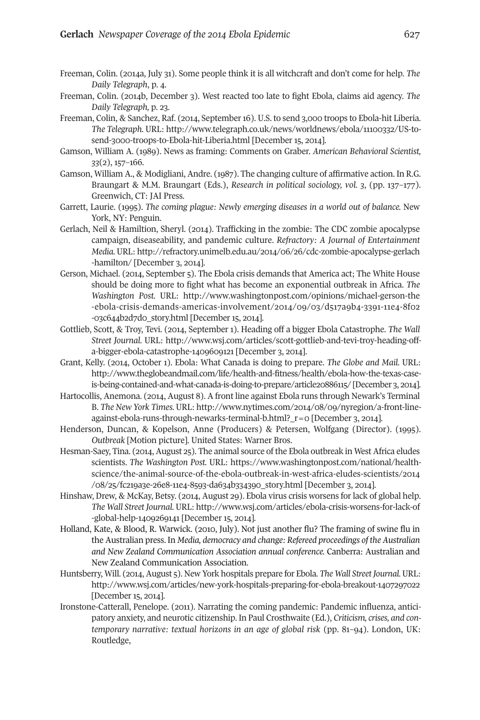- Freeman, Colin. (2014a, July 31). Some people think it is all witchcraft and don't come for help. *The Daily Telegraph*, p. 4.
- Freeman, Colin. (2014b, December 3). West reacted too late to fight Ebola, claims aid agency. *The Daily Telegraph,* p. 23.
- Freeman, Colin, & Sanchez, Raf. (2014, September16). U.S. to send 3,000 troops to Ebola-hit Liberia. *The Telegraph.* URL: [http://www.telegraph.co.uk/news/worldnews/ebola/11100332/US-to](http://www.telegraph.co.uk/news/worldnews/ebola/11100332/US-to-send-3000-troops-to-Ebola-hit-Liberia.html)[send-3000-troops-to-Ebola-hit-Liberia.html](http://www.telegraph.co.uk/news/worldnews/ebola/11100332/US-to-send-3000-troops-to-Ebola-hit-Liberia.html) [December 15, 2014].
- Gamson, William A. (1989). News as framing: Comments on Graber. *American Behavioral Scientist, 33*(2), 157–166.
- Gamson, William A., & Modigliani, Andre. (1987). The changing culture of affirmative action. In R.G. Braungart & M.M. Braungart (Eds.), *Research in political sociology, vol. 3*, (pp. 137–177). Greenwich, CT: JAI Press.
- Garrett, Laurie. (1995). *The coming plague: Newly emerging diseases in a world out of balance.* New York, NY: Penguin.
- Gerlach, Neil & Hamiltion, Sheryl. (2014). Trafficking in the zombie: The CDC zombie apocalypse campaign, diseaseability, and pandemic culture. *Refractory: A Journal of Entertainment Media.* URL: [http://refractory.unimelb.edu.au/2014/06/26/cdc-zombie-apocalypse-gerlach](http://refractory.unimelb.edu.au/2014/06/26/cdc-zombie-apocalypse-gerlach-hamilton/) [-hamilton/](http://refractory.unimelb.edu.au/2014/06/26/cdc-zombie-apocalypse-gerlach-hamilton/) [December 3, 2014].
- Gerson, Michael. (2014, September 5). The Ebola crisis demands that America act; The White House should be doing more to fight what has become an exponential outbreak in Africa. *The Washington Post.* URL: [http://www.washingtonpost.com/opinions/michael-gerson-the](http://www.washingtonpost.com/opinions/michael-gerson-the-ebola-crisis-demands-americas-involvement/2014/09/03/d517a9b4-3391-11e4-8f02-03c644b2d7d0_story.html) [-ebola-crisis-demands-americas-involvement/2014/09/03/d517a9b4-3391-11e4-8f02](http://www.washingtonpost.com/opinions/michael-gerson-the-ebola-crisis-demands-americas-involvement/2014/09/03/d517a9b4-3391-11e4-8f02-03c644b2d7d0_story.html) [-03c644b2d7d0\\_story.html](http://www.washingtonpost.com/opinions/michael-gerson-the-ebola-crisis-demands-americas-involvement/2014/09/03/d517a9b4-3391-11e4-8f02-03c644b2d7d0_story.html) [December 15, 2014].
- Gottlieb, Scott, & Troy, Tevi. (2014, September 1). Heading off a bigger Ebola Catastrophe. *The Wall Street Journal.* URL: [http://www.wsj.com/articles/scott-gottlieb-and-tevi-troy-heading-off](http://www.wsj.com/articles/scott-gottlieb-and-tevi-troy-heading-off-a-bigger-ebola-catastrophe-1409609121)[a-bigger-ebola-catastrophe-1409609121](http://www.wsj.com/articles/scott-gottlieb-and-tevi-troy-heading-off-a-bigger-ebola-catastrophe-1409609121) [December 3, 2014].
- Grant, Kelly. (2014, October 1). Ebola: What Canada is doing to prepare. *The Globe and Mail.* URL: [http://www.theglobeandmail.com/life/health-and-fitness/health/ebola-how-the-texas-case](http://www.theglobeandmail.com/life/health-and-fitness/health/ebola-how-the-texas-case-is-being-contained-and-what-canada-is-doing-to-prepare/article20886115/)[is-being-contained-and-what-canada-is-doing-to-prepare/article20886115/](http://www.theglobeandmail.com/life/health-and-fitness/health/ebola-how-the-texas-case-is-being-contained-and-what-canada-is-doing-to-prepare/article20886115/) [December 3, 2014].
- Hartocollis, Anemona. (2014, August 8). A front line against Ebola runs through Newark's Terminal B. *The New York Times.* URL: [http://www.nytimes.com/2014/08/09/nyregion/a-front-line](http://www.nytimes.com/2014/08/09/nyregion/a-front-line-against-ebola-runs-through-newarks-terminal-b.html?_r=0)[against-ebola-runs-through-newarks-terminal-b.html?\\_r=0](http://www.nytimes.com/2014/08/09/nyregion/a-front-line-against-ebola-runs-through-newarks-terminal-b.html?_r=0) [December 3, 2014].
- Henderson, Duncan, & Kopelson, Anne (Producers) & Petersen, Wolfgang (Director). (1995). *Outbreak* [Motion picture]. United States: Warner Bros.
- Hesman-Saey, Tina. (2014, August 25). The animal source of the Ebola outbreak in West Africa eludes scientists. *The Washington Post.* URL: [https://www.washingtonpost.com/national/health](https://www.washingtonpost.com/national/health-science/the-animal-source-of-the-ebola-outbreak-in-west-africa-eludes-scientists/2014/08/25/fc219a3e-26e8-11e4-8593-da634b334390_story.html)[science/the-animal-source-of-the-ebola-outbreak-in-west-africa-eludes-scientists/2014](https://www.washingtonpost.com/national/health-science/the-animal-source-of-the-ebola-outbreak-in-west-africa-eludes-scientists/2014/08/25/fc219a3e-26e8-11e4-8593-da634b334390_story.html) [/08/25/fc219a3e-26e8-11e4-8593-da634b334390\\_story.html](https://www.washingtonpost.com/national/health-science/the-animal-source-of-the-ebola-outbreak-in-west-africa-eludes-scientists/2014/08/25/fc219a3e-26e8-11e4-8593-da634b334390_story.html) [December 3, 2014].
- Hinshaw, Drew, & McKay, Betsy. (2014, August 29). Ebola virus crisis worsens for lack of global help. *The Wall Street Journal.* URL: [http://www.wsj.com/articles/ebola-crisis-worsens-for-lack-of](http://www.wsj.com/articles/ebola-crisis-worsens-for-lack-of-global-help-1409269141) [-global-help-1409269141](http://www.wsj.com/articles/ebola-crisis-worsens-for-lack-of-global-help-1409269141) [December 15, 2014].
- Holland, Kate, & Blood, R. Warwick. (2010, July). Not just another flu? The framing of swine flu in the Australian press. In *Media, democracy and change: Refereed proceedings of the Australian and New Zealand Communication Association annual conference.* Canberra: Australian and New Zealand Communication Association.
- Huntsberry, Will. (2014,August 5). New York hospitals prepare for Ebola. *The Wall Street Journal.*URL: <http://www.wsj.com/articles/new-york-hospitals-preparing-for-ebola-breakout-1407297022> [December 15, 2014].
- Ironstone-Catterall, Penelope. (2011). Narrating the coming pandemic: Pandemic influenza, anticipatory anxiety, and neurotic citizenship. In Paul Crosthwaite (Ed.), *Criticism, crises, and contemporary narrative: textual horizons in an age of global risk* (pp. 81–94). London, UK: Routledge,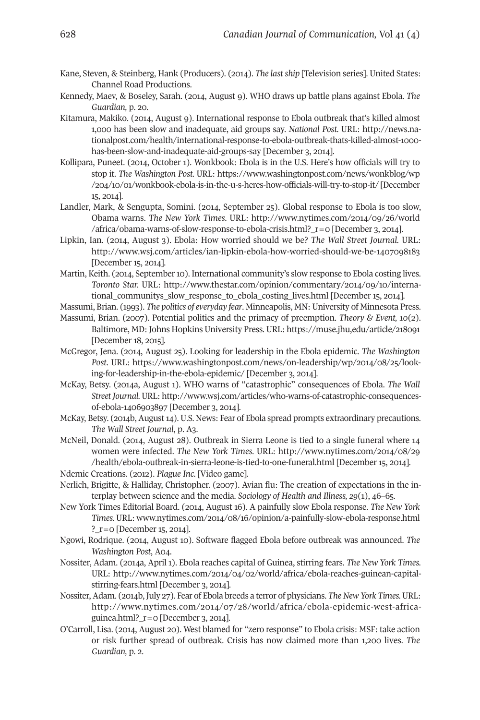- Kane, Steven, & Steinberg, Hank (Producers). (2014). *The lastship* [Television series]. United States: Channel Road Productions.
- Kennedy, Maev, & Boseley, Sarah. (2014, August 9). WHO draws up battle plans against Ebola. *The Guardian,* p. 20.
- Kitamura, Makiko. (2014, August 9). International response to Ebola outbreak that's killed almost 1,000 has been slow and inadequate, aid groups say. *National Post.* URL: [http://news.na](http://news.nationalpost.com/health/international-response-to-ebola-outbreak-thats-killed-almost-1000-has-been-slow-and-inadequate-aid-groups-say)[tionalpost.com/health/international-response-to-ebola-outbreak-thats-killed-almost-1000](http://news.nationalpost.com/health/international-response-to-ebola-outbreak-thats-killed-almost-1000-has-been-slow-and-inadequate-aid-groups-say) [has-been-slow-and-inadequate-aid-groups-say](http://news.nationalpost.com/health/international-response-to-ebola-outbreak-thats-killed-almost-1000-has-been-slow-and-inadequate-aid-groups-say) [December 3, 2014].
- Kollipara, Puneet. (2014, October 1). Wonkbook: Ebola is in the U.S. Here's how officials will try to stop it. *The Washington Post.* URL: [https://www.washingtonpost.com/news/wonkblog/wp](https://www.washingtonpost.com/news/wonkblog/wp/204/10/01/wonkbook-ebola-is-in-the-u-s-heres-how-officials-will-try-to-stop-it/) [/204/10/01/wonkbook-ebola-is-in-the-u-s-heres-how-officials-will-try-to-stop-it/](https://www.washingtonpost.com/news/wonkblog/wp/204/10/01/wonkbook-ebola-is-in-the-u-s-heres-how-officials-will-try-to-stop-it/) [December 15, 2014].
- Landler, Mark, & Sengupta, Somini. (2014, September 25). Global response to Ebola is too slow, Obama warns. *The New York Times.* URL: [http://www.nytimes.com/2014/09/26/world](http://www.nytimes.com/2014/09/26/world/africa/obama-warns-of-slow-response-to-ebola-crisis.html?_r=0) [/africa/obama-warns-of-slow-response-to-ebola-crisis.html?\\_r=0](http://www.nytimes.com/2014/09/26/world/africa/obama-warns-of-slow-response-to-ebola-crisis.html?_r=0) [December 3, 2014].
- Lipkin, Ian. (2014, August 3). Ebola: How worried should we be? *The Wall Street Journal.* URL: <http://www.wsj.com/articles/ian-lipkin-ebola-how-worried-should-we-be-1407098183> [December 15, 2014].
- Martin, Keith. (2014, September 10). International community's slow response to Ebola costing lives. *Toronto Star.* URL: [http://www.thestar.com/opinion/commentary/2014/09/10/interna](http://www.thestar.com/opinion/commentary/2014/09/10/international_communitys_slow_response_to_ebola_costing_lives.html)[tional\\_communitys\\_slow\\_response\\_to\\_ebola\\_costing\\_lives.html](http://www.thestar.com/opinion/commentary/2014/09/10/international_communitys_slow_response_to_ebola_costing_lives.html) [December 15, 2014].
- Massumi, Brian. (1993). *The politics of everyday fear*. Minneapolis, MN: University of Minnesota Press.
- Massumi, Brian. (2007). Potential politics and the primacy of preemption. *Theory & Event, 10*(2). Baltimore, MD: Johns Hopkins University Press. URL: <https://muse.jhu,edu/article/218091> [December 18, 2015].
- McGregor, Jena. (2014, August 25). Looking for leadership in the Ebola epidemic. *The Washington Post*. URL: [https://www.washingtonpost.com/news/on-leadership/wp/2014/08/25/look](https://www.washingtonpost.com/news/on-leadership/wp/2014/08/25/looking-for-leadership-in-the-ebola-epidemic)[ing-for-leadership-in-the-ebola-epidemic/](https://www.washingtonpost.com/news/on-leadership/wp/2014/08/25/looking-for-leadership-in-the-ebola-epidemic) [December 3, 2014].
- McKay, Betsy. (2014a, August 1). WHO warns of "catastrophic" consequences of Ebola. *The Wall Street Journal.* URL: [http://www.wsj.com/articles/who-warns-of-catastrophic-consequences](http://www.wsj.com/articles/who-warns-of-catastrophic-consequences-of-ebola-1406903897)[of-ebola-1406903897](http://www.wsj.com/articles/who-warns-of-catastrophic-consequences-of-ebola-1406903897) [December 3, 2014].
- McKay, Betsy. (2014b, August 14). U.S. News: Fear of Ebola spread prompts extraordinary precautions. *The Wall Street Journal*, p. A3.
- McNeil, Donald. (2014, August 28). Outbreak in Sierra Leone is tied to a single funeral where 14 women were infected. *The New York Times.* URL: [http://www.nytimes.com/2014/08/29](http://www.nytimes.com/2014/08/29/health/ebola-outbreak-in-sierra-leone-is-tied-to-one-funeral.html) [/health/ebola-outbreak-in-sierra-leone-is-tied-to-one-funeral.html](http://www.nytimes.com/2014/08/29/health/ebola-outbreak-in-sierra-leone-is-tied-to-one-funeral.html) [December 15, 2014].
- Ndemic Creations. (2012). *Plague Inc.* [Video game].
- Nerlich, Brigitte, & Halliday, Christopher. (2007). Avian flu: The creation of expectations in the interplay between science and the media. *Sociology of Health and Illness, 29*(1), 46–65.
- New York Times Editorial Board. (2014, August 16). A painfully slow Ebola response. *The New York Times.* URL: [www.nytimes.com/2014/08/16/opinion/a-painfully-slow-ebola-response.html](www.nytimes.com/2014/08/16/opinion/a-painfully-slow-ebola-response.html?_r=0) [?\\_r=0](www.nytimes.com/2014/08/16/opinion/a-painfully-slow-ebola-response.html?_r=0) [December 15, 2014].
- Ngowi, Rodrique. (2014, August 10). Software flagged Ebola before outbreak was announced. *The Washington Post*, A04.
- Nossiter, Adam. (2014a, April 1). Ebola reaches capital of Guinea, stirring fears. *The New York Times.* URL: [http://www.nytimes.com/2014/04/02/world/africa/ebola-reaches-guinean-capital](http://www.nytimes.com/2014/04/02/world/africa/ebola-reaches-guinean-capital-stirring-fears.html)[stirring-fears.html](http://www.nytimes.com/2014/04/02/world/africa/ebola-reaches-guinean-capital-stirring-fears.html) [December 3, 2014].
- Nossiter,Adam. (2014b, July 27). Fear of Ebola breeds a terror of physicians. *TheNew York Times.*URL: [http://www.nytimes.com/2014/07/28/world/africa/ebola-epidemic-west-africa](http://www.nytimes.com/2014/07/28/world/africa/ebola-epidemic-west-africa-guinea.html?_r=0)[guinea.html?\\_r=0](http://www.nytimes.com/2014/07/28/world/africa/ebola-epidemic-west-africa-guinea.html?_r=0) [December 3, 2014].
- O'Carroll, Lisa. (2014, August 20). West blamed for "zero response" to Ebola crisis: MSF: take action or risk further spread of outbreak. Crisis has now claimed more than 1,200 lives. *The Guardian,* p. 2.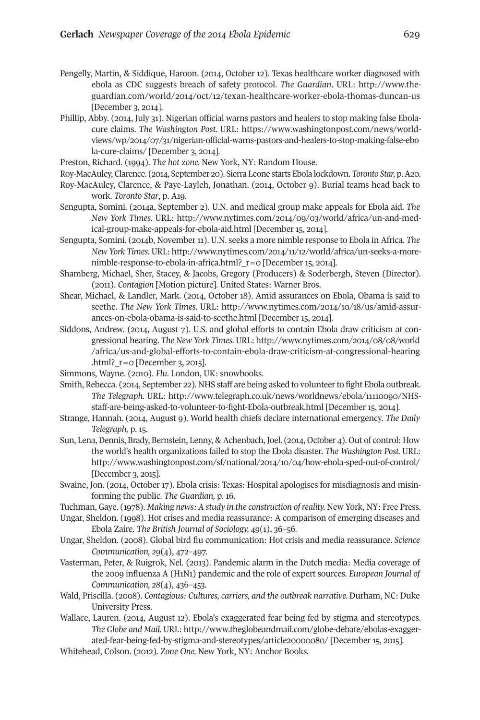- Pengelly, Martin, & Siddique, Haroon. (2014, October 12). Texas healthcare worker diagnosed with ebola as CDC suggests breach of safety protocol. *The Guardian*. URL: [http://www.the](http://www.theguardian.com/world/2014/oct/12/texan-healthcare-worker-ebola-thomas-duncan-us)[guardian.com/world/2014/oct/12/texan-healthcare-worker-ebola-thomas-duncan-us](http://www.theguardian.com/world/2014/oct/12/texan-healthcare-worker-ebola-thomas-duncan-us) [December 3, 2014].
- Phillip, Abby. (2014, July 31). Nigerian official warns pastors and healers to stop making false Ebolacure claims. *The Washington Post.* URL: [https://www.washingtonpost.com/news/world](https://www.washingtonpost.com/news/worldviews/wp/2014/07/31/nigerian-official-warns-pastors-and-healers-to-stop-making-false-ebola-cure-claims/)[views/wp/2014/07/31/nigerian-official-warns-pastors-and-healers-to-stop-making-false-ebo](https://www.washingtonpost.com/news/worldviews/wp/2014/07/31/nigerian-official-warns-pastors-and-healers-to-stop-making-false-ebola-cure-claims/) [la-cure-claims/](https://www.washingtonpost.com/news/worldviews/wp/2014/07/31/nigerian-official-warns-pastors-and-healers-to-stop-making-false-ebola-cure-claims/) [December 3, 2014].
- Preston, Richard. (1994). *The hot zone.* New York, NY: Random House.
- Roy-MacAuley, Clarence. (2014, September 20). Sierra Leone starts Ebola lockdown. *Toronto Star,* p.A20.
- Roy-MacAuley, Clarence, & Paye-Layleh, Jonathan. (2014, October 9). Burial teams head back to work. *Toronto Star*, p. A19.
- Sengupta, Somini. (2014a, September 2). U.N. and medical group make appeals for Ebola aid. *The New York Times*. URL: [http://www.nytimes.com/2014/09/03/world/africa/un-and-med](http://www.nytimes.com/2014/09/03/world/africa/un-and-medical-group-make-appeals-for-ebola-aid.html)[ical-group-make-appeals-for-ebola-aid.html](http://www.nytimes.com/2014/09/03/world/africa/un-and-medical-group-make-appeals-for-ebola-aid.html) [December 15, 2014].
- Sengupta, Somini. (2014b, November 11). U.N. seeks a more nimble response to Ebola in Africa. *The New York Times*. URL: [http://www.nytimes.com/2014/11/12/world/africa/un-seeks-a-more](http://www.nytimes.com/2014/11/12/world/africa/un-seeks-a-more-nimble-response-to-ebola-in-africa.html?_r=0)[nimble-response-to-ebola-in-africa.html?\\_r=0](http://www.nytimes.com/2014/11/12/world/africa/un-seeks-a-more-nimble-response-to-ebola-in-africa.html?_r=0) [December 15, 2014].
- Shamberg, Michael, Sher, Stacey, & Jacobs, Gregory (Producers) & Soderbergh, Steven (Director). (2011). *Contagion* [Motion picture]. United States: Warner Bros.
- Shear, Michael, & Landler, Mark. (2014, October 18). Amid assurances on Ebola, Obama is said to seethe. *The New York Times.* URL: [http://www.nytimes.com/2014/10/18/us/amid-assur](http://www.nytimes.com/2014/10/18/us/amid-assurances-on-ebola-obama-is-said-to-seethe.html)[ances-on-ebola-obama-is-said-to-seethe.html](http://www.nytimes.com/2014/10/18/us/amid-assurances-on-ebola-obama-is-said-to-seethe.html) [December 15, 2014].
- Siddons, Andrew. (2014, August 7). U.S. and global efforts to contain Ebola draw criticism at congressional hearing. *The New York Times.* URL: [http://www.nytimes.com/2014/08/08/world](http://www.nytimes.com/2014/08/08/world/africa/us-and-global-efforts-to-contain-ebola-draw-criticism-at-congressional-hearing.html?_r=0) [/africa/us-and-global-efforts-to-contain-ebola-draw-criticism-at-congressional-hearing](http://www.nytimes.com/2014/08/08/world/africa/us-and-global-efforts-to-contain-ebola-draw-criticism-at-congressional-hearing.html?_r=0) [.html?\\_r=0](http://www.nytimes.com/2014/08/08/world/africa/us-and-global-efforts-to-contain-ebola-draw-criticism-at-congressional-hearing.html?_r=0) [December 3, 2015].
- Simmons, Wayne. (2010). *Flu.* London, UK: snowbooks.
- Smith, Rebecca. (2014, September 22). NHS staff are being asked to volunteer to fight Ebola outbreak. *The Telegraph.* URL: [http://www.telegraph.co.uk/news/worldnews/ebola/11110090/NHS](http://www.telegraph.co.uk/news/worldnews/ebola/11110090/NHS-staff-are-being-asked-to-volunteer-to-fight-Ebola-outbreak.html)[staff-are-being-asked-to-volunteer-to-fight-Ebola-outbreak.html](http://www.telegraph.co.uk/news/worldnews/ebola/11110090/NHS-staff-are-being-asked-to-volunteer-to-fight-Ebola-outbreak.html) [December 15, 2014].
- Strange, Hannah. (2014, August 9). World health chiefs declare international emergency. *The Daily Telegraph,* p. 15.
- Sun, Lena, Dennis, Brady, Bernstein, Lenny, & Achenbach, Joel. (2014, October 4). Out of control: How the world's health organizations failed to stop the Ebola disaster. *The Washington Post.* URL: [http://www.washingtonpost.com/sf/national/2014/10/04/how-ebola-sped-out-of-control/](http://www.washingtonpost.com/sf/national/2014/10/04/how-ebola-sped-out-of-control) [December 3, 2015].
- Swaine, Jon. (2014, October 17). Ebola crisis: Texas: Hospital apologises for misdiagnosis and misinforming the public. *The Guardian,* p. 16.
- Tuchman, Gaye. (1978). *Making news: A study in the construction ofreality.* New York, NY: Free Press.
- Ungar, Sheldon. (1998). Hot crises and media reassurance: A comparison of emerging diseases and Ebola Zaire. *The British Journal of Sociology, 49*(1), 36–56.
- Ungar, Sheldon. (2008). Global bird flu communication: Hot crisis and media reassurance. *Science Communication, 29*(4), 472–497.
- Vasterman, Peter, & Ruigrok, Nel. (2013). Pandemic alarm in the Dutch media: Media coverage of the 2009 influenza A (H1N1) pandemic and the role of expert sources. *European Journal of Communication, 28*(4), 436–453.
- Wald, Priscilla. (2008). *Contagious: Cultures, carriers, and the outbreak narrative.* Durham, NC: Duke University Press.
- Wallace, Lauren. (2014, August 12). Ebola's exaggerated fear being fed by stigma and stereotypes. *The Globe and Mail.* URL: [http://www.theglobeandmail.com/globe-debate/ebolas-exagger](http://www.theglobeandmail.com/globe-debate/ebolas-exaggerated-fear-being-fed-by-stigma-and-stereotypes/article20000080/)[ated-fear-being-fed-by-stigma-and-stereotypes/article20000080/](http://www.theglobeandmail.com/globe-debate/ebolas-exaggerated-fear-being-fed-by-stigma-and-stereotypes/article20000080/) [December 15, 2015].
- Whitehead, Colson. (2012). *Zone One.* New York, NY: Anchor Books.